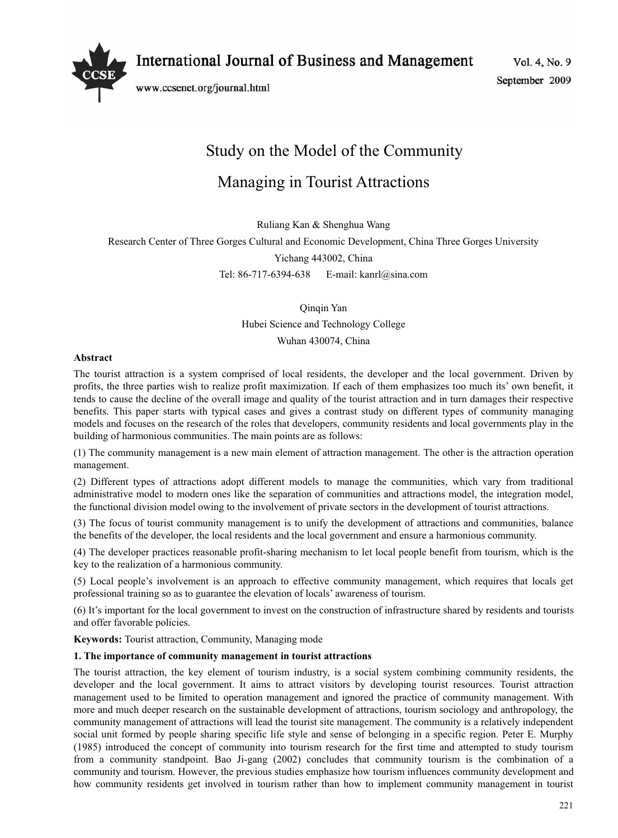*International Journal of Business and Management* September, 2009

www.ccsenet.org/journal.html

# Study on the Model of the Community

# Managing in Tourist Attractions

Ruliang Kan & Shenghua Wang

Research Center of Three Gorges Cultural and Economic Development, China Three Gorges University

Yichang 443002, China

Tel: 86-717-6394-638 E-mail: kanrl@sina.com

Qinqin Yan

Hubei Science and Technology College Wuhan 430074, China

# **Abstract**

The tourist attraction is a system comprised of local residents, the developer and the local government. Driven by profits, the three parties wish to realize profit maximization. If each of them emphasizes too much its' own benefit, it tends to cause the decline of the overall image and quality of the tourist attraction and in turn damages their respective benefits. This paper starts with typical cases and gives a contrast study on different types of community managing models and focuses on the research of the roles that developers, community residents and local governments play in the building of harmonious communities. The main points are as follows:

(1) The community management is a new main element of attraction management. The other is the attraction operation management.

(2) Different types of attractions adopt different models to manage the communities, which vary from traditional administrative model to modern ones like the separation of communities and attractions model, the integration model, the functional division model owing to the involvement of private sectors in the development of tourist attractions.

(3) The focus of tourist community management is to unify the development of attractions and communities, balance the benefits of the developer, the local residents and the local government and ensure a harmonious community.

(4) The developer practices reasonable profit-sharing mechanism to let local people benefit from tourism, which is the key to the realization of a harmonious community.

(5) Local people's involvement is an approach to effective community management, which requires that locals get professional training so as to guarantee the elevation of locals' awareness of tourism.

(6) It's important for the local government to invest on the construction of infrastructure shared by residents and tourists and offer favorable policies.

**Keywords:** Tourist attraction, Community, Managing mode

# **1. The importance of community management in tourist attractions**

The tourist attraction, the key element of tourism industry, is a social system combining community residents, the developer and the local government. It aims to attract visitors by developing tourist resources. Tourist attraction management used to be limited to operation management and ignored the practice of community management. With more and much deeper research on the sustainable development of attractions, tourism sociology and anthropology, the community management of attractions will lead the tourist site management. The community is a relatively independent social unit formed by people sharing specific life style and sense of belonging in a specific region. Peter E. Murphy (1985) introduced the concept of community into tourism research for the first time and attempted to study tourism from a community standpoint. Bao Ji-gang (2002) concludes that community tourism is the combination of a community and tourism. However, the previous studies emphasize how tourism influences community development and how community residents get involved in tourism rather than how to implement community management in tourist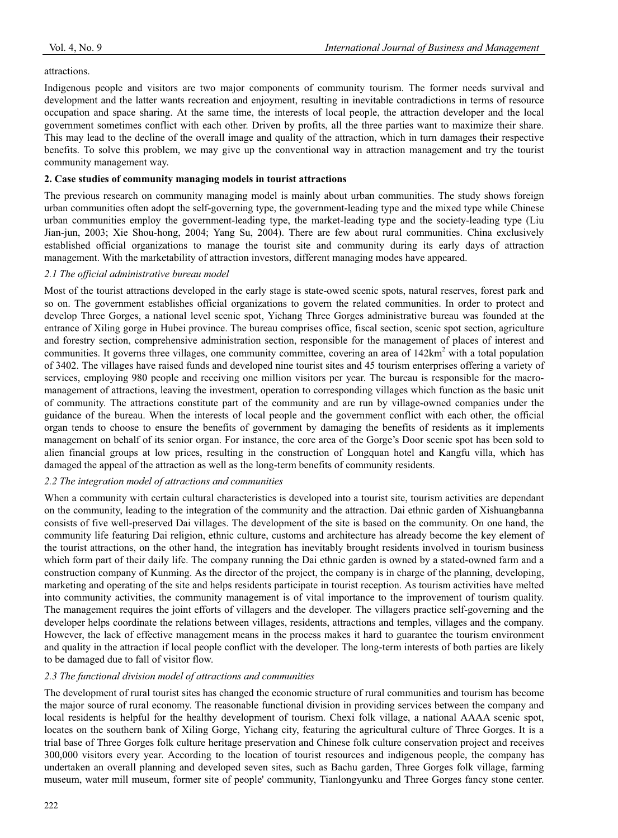# attractions.

Indigenous people and visitors are two major components of community tourism. The former needs survival and development and the latter wants recreation and enjoyment, resulting in inevitable contradictions in terms of resource occupation and space sharing. At the same time, the interests of local people, the attraction developer and the local government sometimes conflict with each other. Driven by profits, all the three parties want to maximize their share. This may lead to the decline of the overall image and quality of the attraction, which in turn damages their respective benefits. To solve this problem, we may give up the conventional way in attraction management and try the tourist community management way.

### **2. Case studies of community managing models in tourist attractions**

The previous research on community managing model is mainly about urban communities. The study shows foreign urban communities often adopt the self-governing type, the government-leading type and the mixed type while Chinese urban communities employ the government-leading type, the market-leading type and the society-leading type (Liu Jian-jun, 2003; Xie Shou-hong, 2004; Yang Su, 2004). There are few about rural communities. China exclusively established official organizations to manage the tourist site and community during its early days of attraction management. With the marketability of attraction investors, different managing modes have appeared.

#### *2.1 The official administrative bureau model*

Most of the tourist attractions developed in the early stage is state-owed scenic spots, natural reserves, forest park and so on. The government establishes official organizations to govern the related communities. In order to protect and develop Three Gorges, a national level scenic spot, Yichang Three Gorges administrative bureau was founded at the entrance of Xiling gorge in Hubei province. The bureau comprises office, fiscal section, scenic spot section, agriculture and forestry section, comprehensive administration section, responsible for the management of places of interest and communities. It governs three villages, one community committee, covering an area of  $142 \text{km}^2$  with a total population of 3402. The villages have raised funds and developed nine tourist sites and 45 tourism enterprises offering a variety of services, employing 980 people and receiving one million visitors per year. The bureau is responsible for the macromanagement of attractions, leaving the investment, operation to corresponding villages which function as the basic unit of community. The attractions constitute part of the community and are run by village-owned companies under the guidance of the bureau. When the interests of local people and the government conflict with each other, the official organ tends to choose to ensure the benefits of government by damaging the benefits of residents as it implements management on behalf of its senior organ. For instance, the core area of the Gorge's Door scenic spot has been sold to alien financial groups at low prices, resulting in the construction of Longquan hotel and Kangfu villa, which has damaged the appeal of the attraction as well as the long-term benefits of community residents.

# *2.2 The integration model of attractions and communities*

When a community with certain cultural characteristics is developed into a tourist site, tourism activities are dependant on the community, leading to the integration of the community and the attraction. Dai ethnic garden of Xishuangbanna consists of five well-preserved Dai villages. The development of the site is based on the community. On one hand, the community life featuring Dai religion, ethnic culture, customs and architecture has already become the key element of the tourist attractions, on the other hand, the integration has inevitably brought residents involved in tourism business which form part of their daily life. The company running the Dai ethnic garden is owned by a stated-owned farm and a construction company of Kunming. As the director of the project, the company is in charge of the planning, developing, marketing and operating of the site and helps residents participate in tourist reception. As tourism activities have melted into community activities, the community management is of vital importance to the improvement of tourism quality. The management requires the joint efforts of villagers and the developer. The villagers practice self-governing and the developer helps coordinate the relations between villages, residents, attractions and temples, villages and the company. However, the lack of effective management means in the process makes it hard to guarantee the tourism environment and quality in the attraction if local people conflict with the developer. The long-term interests of both parties are likely to be damaged due to fall of visitor flow.

# *2.3 The functional division model of attractions and communities*

The development of rural tourist sites has changed the economic structure of rural communities and tourism has become the major source of rural economy. The reasonable functional division in providing services between the company and local residents is helpful for the healthy development of tourism. Chexi folk village, a national AAAA scenic spot, locates on the southern bank of Xiling Gorge, Yichang city, featuring the agricultural culture of Three Gorges. It is a trial base of Three Gorges folk culture heritage preservation and Chinese folk culture conservation project and receives 300,000 visitors every year. According to the location of tourist resources and indigenous people, the company has undertaken an overall planning and developed seven sites, such as Bachu garden, Three Gorges folk village, farming museum, water mill museum, former site of people' community, Tianlongyunku and Three Gorges fancy stone center.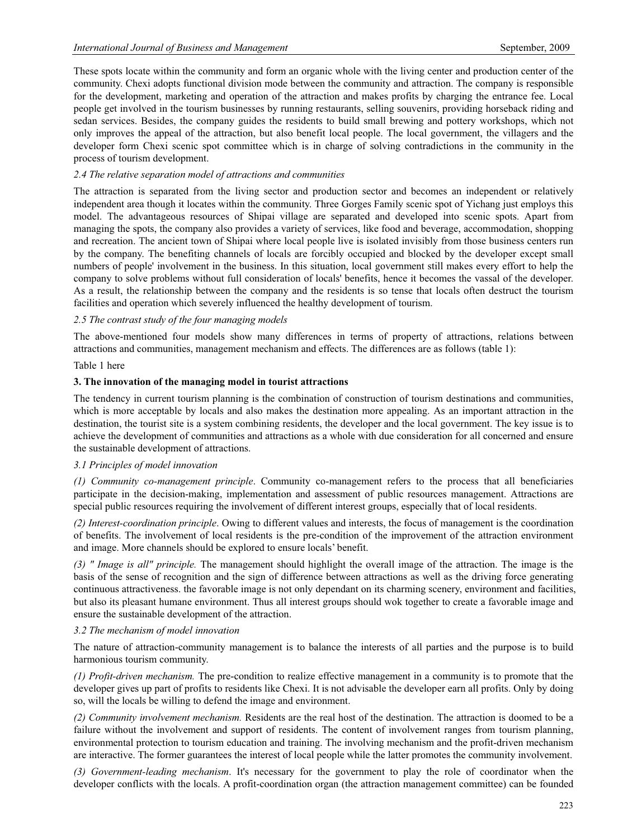These spots locate within the community and form an organic whole with the living center and production center of the community. Chexi adopts functional division mode between the community and attraction. The company is responsible for the development, marketing and operation of the attraction and makes profits by charging the entrance fee. Local people get involved in the tourism businesses by running restaurants, selling souvenirs, providing horseback riding and sedan services. Besides, the company guides the residents to build small brewing and pottery workshops, which not only improves the appeal of the attraction, but also benefit local people. The local government, the villagers and the developer form Chexi scenic spot committee which is in charge of solving contradictions in the community in the process of tourism development.

#### *2.4 The relative separation model of attractions and communities*

The attraction is separated from the living sector and production sector and becomes an independent or relatively independent area though it locates within the community. Three Gorges Family scenic spot of Yichang just employs this model. The advantageous resources of Shipai village are separated and developed into scenic spots. Apart from managing the spots, the company also provides a variety of services, like food and beverage, accommodation, shopping and recreation. The ancient town of Shipai where local people live is isolated invisibly from those business centers run by the company. The benefiting channels of locals are forcibly occupied and blocked by the developer except small numbers of people' involvement in the business. In this situation, local government still makes every effort to help the company to solve problems without full consideration of locals' benefits, hence it becomes the vassal of the developer. As a result, the relationship between the company and the residents is so tense that locals often destruct the tourism facilities and operation which severely influenced the healthy development of tourism.

#### *2.5 The contrast study of the four managing models*

The above-mentioned four models show many differences in terms of property of attractions, relations between attractions and communities, management mechanism and effects. The differences are as follows (table 1):

#### Table 1 here

#### **3. The innovation of the managing model in tourist attractions**

The tendency in current tourism planning is the combination of construction of tourism destinations and communities, which is more acceptable by locals and also makes the destination more appealing. As an important attraction in the destination, the tourist site is a system combining residents, the developer and the local government. The key issue is to achieve the development of communities and attractions as a whole with due consideration for all concerned and ensure the sustainable development of attractions.

#### *3.1 Principles of model innovation*

*(1) Community co-management principle*. Community co-management refers to the process that all beneficiaries participate in the decision-making, implementation and assessment of public resources management. Attractions are special public resources requiring the involvement of different interest groups, especially that of local residents.

*(2) Interest-coordination principle*. Owing to different values and interests, the focus of management is the coordination of benefits. The involvement of local residents is the pre-condition of the improvement of the attraction environment and image. More channels should be explored to ensure locals' benefit.

*(3) " Image is all" principle.* The management should highlight the overall image of the attraction. The image is the basis of the sense of recognition and the sign of difference between attractions as well as the driving force generating continuous attractiveness. the favorable image is not only dependant on its charming scenery, environment and facilities, but also its pleasant humane environment. Thus all interest groups should wok together to create a favorable image and ensure the sustainable development of the attraction.

#### *3.2 The mechanism of model innovation*

The nature of attraction-community management is to balance the interests of all parties and the purpose is to build harmonious tourism community.

*(1) Profit-driven mechanism.* The pre-condition to realize effective management in a community is to promote that the developer gives up part of profits to residents like Chexi. It is not advisable the developer earn all profits. Only by doing so, will the locals be willing to defend the image and environment.

*(2) Community involvement mechanism.* Residents are the real host of the destination. The attraction is doomed to be a failure without the involvement and support of residents. The content of involvement ranges from tourism planning, environmental protection to tourism education and training. The involving mechanism and the profit-driven mechanism are interactive. The former guarantees the interest of local people while the latter promotes the community involvement.

*(3) Government-leading mechanism*. It's necessary for the government to play the role of coordinator when the developer conflicts with the locals. A profit-coordination organ (the attraction management committee) can be founded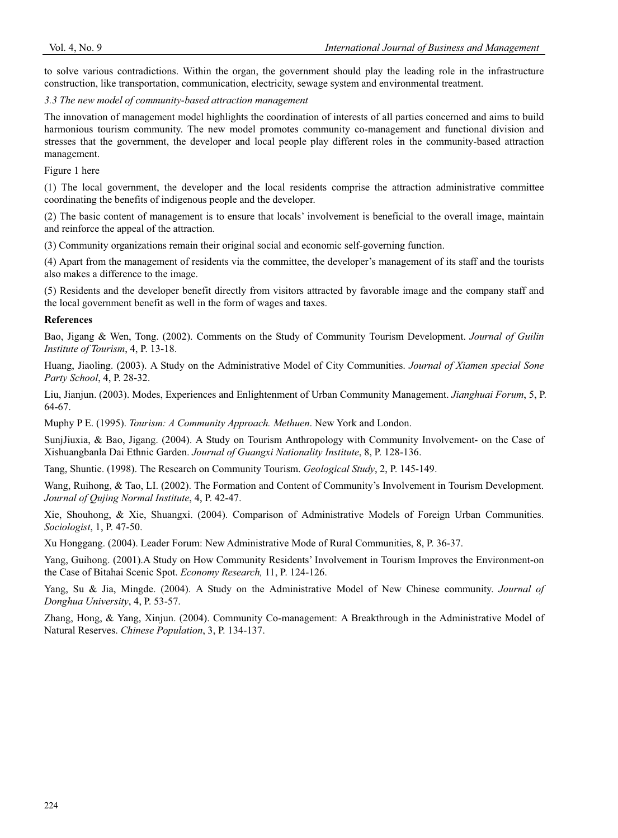to solve various contradictions. Within the organ, the government should play the leading role in the infrastructure construction, like transportation, communication, electricity, sewage system and environmental treatment.

*3.3 The new model of community-based attraction management* 

The innovation of management model highlights the coordination of interests of all parties concerned and aims to build harmonious tourism community. The new model promotes community co-management and functional division and stresses that the government, the developer and local people play different roles in the community-based attraction management.

Figure 1 here

(1) The local government, the developer and the local residents comprise the attraction administrative committee coordinating the benefits of indigenous people and the developer.

(2) The basic content of management is to ensure that locals' involvement is beneficial to the overall image, maintain and reinforce the appeal of the attraction.

(3) Community organizations remain their original social and economic self-governing function.

(4) Apart from the management of residents via the committee, the developer's management of its staff and the tourists also makes a difference to the image.

(5) Residents and the developer benefit directly from visitors attracted by favorable image and the company staff and the local government benefit as well in the form of wages and taxes.

#### **References**

Bao, Jigang & Wen, Tong. (2002). Comments on the Study of Community Tourism Development. *Journal of Guilin Institute of Tourism*, 4, P. 13-18.

Huang, Jiaoling. (2003). A Study on the Administrative Model of City Communities. *Journal of Xiamen special Sone Party School*, 4, P. 28-32.

Liu, Jianjun. (2003). Modes, Experiences and Enlightenment of Urban Community Management. *Jianghuai Forum*, 5, P. 64-67.

Muphy P E. (1995). *Tourism: A Community Approach. Methuen*. New York and London.

SunjJiuxia, & Bao, Jigang. (2004). A Study on Tourism Anthropology with Community Involvement- on the Case of Xishuangbanla Dai Ethnic Garden. *Journal of Guangxi Nationality Institute*, 8, P. 128-136.

Tang, Shuntie. (1998). The Research on Community Tourism. *Geological Study*, 2, P. 145-149.

Wang, Ruihong, & Tao, LI. (2002). The Formation and Content of Community's Involvement in Tourism Development. *Journal of Qujing Normal Institute*, 4, P. 42-47.

Xie, Shouhong, & Xie, Shuangxi. (2004). Comparison of Administrative Models of Foreign Urban Communities. *Sociologist*, 1, P. 47-50.

Xu Honggang. (2004). Leader Forum: New Administrative Mode of Rural Communities, 8, P. 36-37.

Yang, Guihong. (2001).A Study on How Community Residents' Involvement in Tourism Improves the Environment-on the Case of Bitahai Scenic Spot. *Economy Research,* 11, P. 124-126.

Yang, Su & Jia, Mingde. (2004). A Study on the Administrative Model of New Chinese community. *Journal of Donghua University*, 4, P. 53-57.

Zhang, Hong, & Yang, Xinjun. (2004). Community Co-management: A Breakthrough in the Administrative Model of Natural Reserves. *Chinese Population*, 3, P. 134-137.